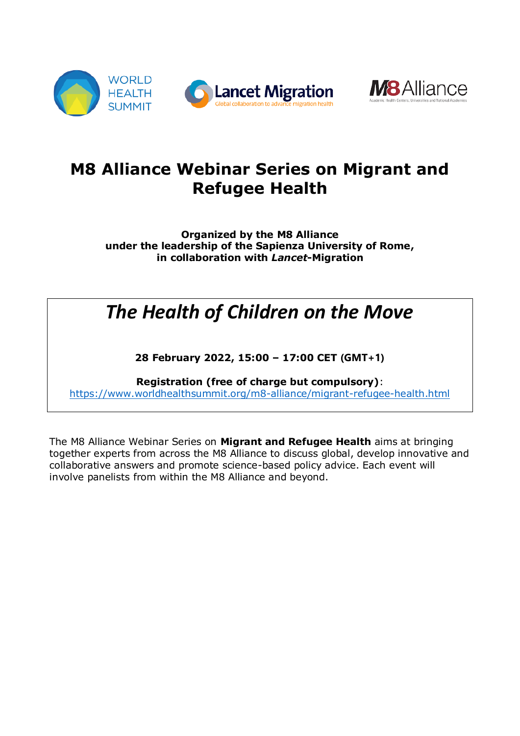



# **M8 Alliance Webinar Series on Migrant and Refugee Health**

**Organized by the M8 Alliance under the leadership of the Sapienza University of Rome, in collaboration with** *Lancet***-Migration**

# *The Health of Children on the Move*

**28 February 2022, 15:00 – 17:00 CET (GMT+1)**

**Registration (free of charge but compulsory)**: <https://www.worldhealthsummit.org/m8-alliance/migrant-refugee-health.html>

The M8 Alliance Webinar Series on **Migrant and Refugee Health** aims at bringing together experts from across the M8 Alliance to discuss global, develop innovative and collaborative answers and promote science-based policy advice. Each event will involve panelists from within the M8 Alliance and beyond.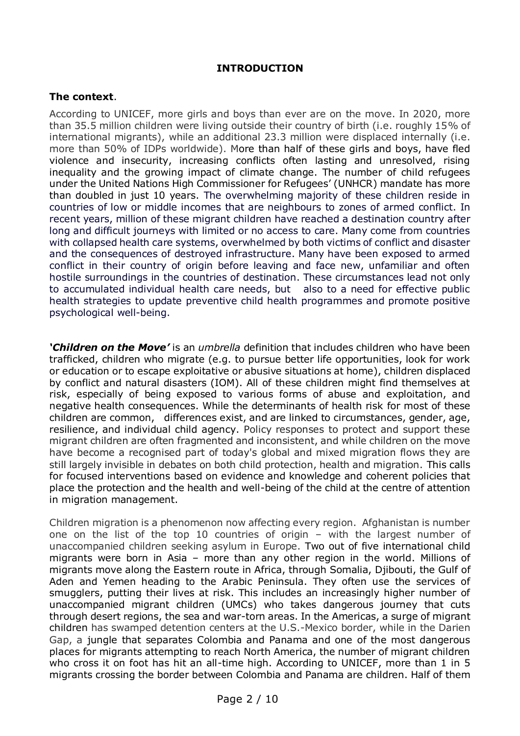#### **INTRODUCTION**

#### **The context**.

According to UNICEF, more girls and boys than ever are on the move. In 2020, more than 35.5 million children were living outside their country of birth (i.e. roughly 15% of international migrants), while an additional 23.3 million were displaced internally (i.e. more than 50% of IDPs worldwide). More than half of these girls and boys, have fled violence and insecurity, increasing conflicts often lasting and unresolved, rising inequality and the growing impact of climate change. The number of child refugees under the United Nations High Commissioner for Refugees' (UNHCR) mandate has more than doubled in just 10 years. The overwhelming majority of these children reside in countries of low or middle incomes that are neighbours to zones of armed conflict. In recent years, million of these migrant children have reached a destination country after long and difficult journeys with limited or no access to care. Many come from countries with collapsed health care systems, overwhelmed by both victims of conflict and disaster and the consequences of destroyed infrastructure. Many have been exposed to armed conflict in their country of origin before leaving and face new, unfamiliar and often hostile surroundings in the countries of destination. These circumstances lead not only to accumulated individual health care needs, but also to a need for effective public health strategies to update preventive child health programmes and promote positive psychological well-being.

*'Children on the Move'* is an *umbrella* definition that includes children who have been trafficked, children who migrate (e.g. to pursue better life opportunities, look for work or education or to escape exploitative or abusive situations at home), children displaced by conflict and natural disasters (IOM). All of these children might find themselves at risk, especially of being exposed to various forms of abuse and exploitation, and negative health consequences. While the determinants of health risk for most of these children are common, differences exist, and are linked to circumstances, gender, age, resilience, and individual child agency. Policy responses to protect and support these migrant children are often fragmented and inconsistent, and while children on the move have become a recognised part of today's global and mixed migration flows they are still largely invisible in debates on both child protection, health and migration. This calls for focused interventions based on evidence and knowledge and coherent policies that place the protection and the health and well-being of the child at the centre of attention in migration management.

Children migration is a phenomenon now affecting every region. Afghanistan is number one on the list of the top 10 countries of origin – with the largest number of unaccompanied children seeking asylum in Europe. Two out of five international child migrants were born in Asia – more than any other region in the world. Millions of migrants move along the Eastern route in Africa, through Somalia, Djibouti, the Gulf of Aden and Yemen heading to the Arabic Peninsula. They often use the services of smugglers, putting their lives at risk. This includes an increasingly higher number of unaccompanied migrant children (UMCs) who takes dangerous journey that cuts through desert regions, the sea and war-torn areas. In the Americas, a surge of migrant children has swamped detention centers at the U.S.-Mexico border, while in the Darien Gap, a jungle that separates Colombia and Panama and one of the most dangerous places for migrants attempting to reach North America, the number of migrant children who cross it on foot has hit an all-time high. According to UNICEF, more than 1 in 5 migrants crossing the border between Colombia and Panama are children. Half of them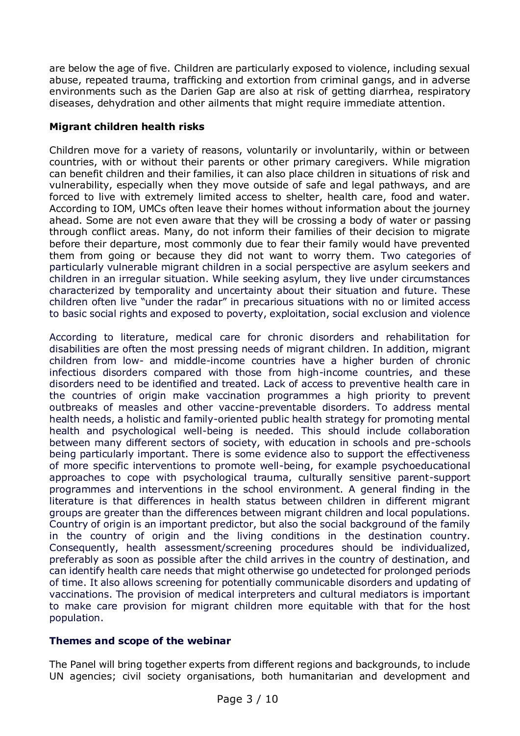are below the age of five. Children are particularly exposed to violence, including sexual abuse, repeated trauma, trafficking and extortion from criminal gangs, and in adverse environments such as the Darien Gap are also at risk of getting diarrhea, respiratory diseases, dehydration and other ailments that might require immediate attention.

# **Migrant children health risks**

Children move for a variety of reasons, voluntarily or involuntarily, within or between countries, with or without their parents or other primary caregivers. While migration can benefit children and their families, it can also place children in situations of risk and vulnerability, especially when they move outside of safe and legal pathways, and are forced to live with extremely limited access to shelter, health care, food and water. According to IOM, UMCs often leave their homes without information about the journey ahead. Some are not even aware that they will be crossing a body of water or passing through conflict areas. Many, do not inform their families of their decision to migrate before their departure, most commonly due to fear their family would have prevented them from going or because they did not want to worry them. Two categories of particularly vulnerable migrant children in a social perspective are asylum seekers and children in an irregular situation. While seeking asylum, they live under circumstances characterized by temporality and uncertainty about their situation and future. These children often live "under the radar" in precarious situations with no or limited access to basic social rights and exposed to poverty, exploitation, social exclusion and violence

According to literature, medical care for chronic disorders and rehabilitation for disabilities are often the most pressing needs of migrant children. In addition, migrant children from low- and middle-income countries have a higher burden of chronic infectious disorders compared with those from high-income countries, and these disorders need to be identified and treated. Lack of access to preventive health care in the countries of origin make vaccination programmes a high priority to prevent outbreaks of measles and other vaccine-preventable disorders. To address mental health needs, a holistic and family-oriented public health strategy for promoting mental health and psychological well-being is needed. This should include collaboration between many different sectors of society, with education in schools and pre-schools being particularly important. There is some evidence also to support the effectiveness of more specific interventions to promote well-being, for example psychoeducational approaches to cope with psychological trauma, culturally sensitive parent-support programmes and interventions in the school environment. A general finding in the literature is that differences in health status between children in different migrant groups are greater than the differences between migrant children and local populations. Country of origin is an important predictor, but also the social background of the family in the country of origin and the living conditions in the destination country. Consequently, health assessment/screening procedures should be individualized, preferably as soon as possible after the child arrives in the country of destination, and can identify health care needs that might otherwise go undetected for prolonged periods of time. It also allows screening for potentially communicable disorders and updating of vaccinations. The provision of medical interpreters and cultural mediators is important to make care provision for migrant children more equitable with that for the host population.

# **Themes and scope of the webinar**

The Panel will bring together experts from different regions and backgrounds, to include UN agencies; civil society organisations, both humanitarian and development and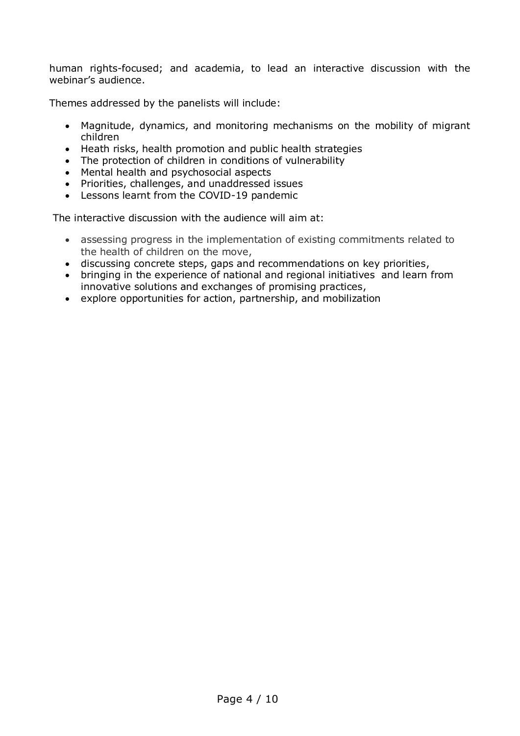human rights-focused; and academia, to lead an interactive discussion with the webinar's audience.

Themes addressed by the panelists will include:

- Magnitude, dynamics, and monitoring mechanisms on the mobility of migrant children
- Heath risks, health promotion and public health strategies
- The protection of children in conditions of vulnerability
- Mental health and psychosocial aspects
- Priorities, challenges, and unaddressed issues
- Lessons learnt from the COVID-19 pandemic

The interactive discussion with the audience will aim at:

- assessing progress in the implementation of existing commitments related to the health of children on the move,
- discussing concrete steps, gaps and recommendations on key priorities,
- bringing in the experience of national and regional initiatives and learn from innovative solutions and exchanges of promising practices,
- explore opportunities for action, partnership, and mobilization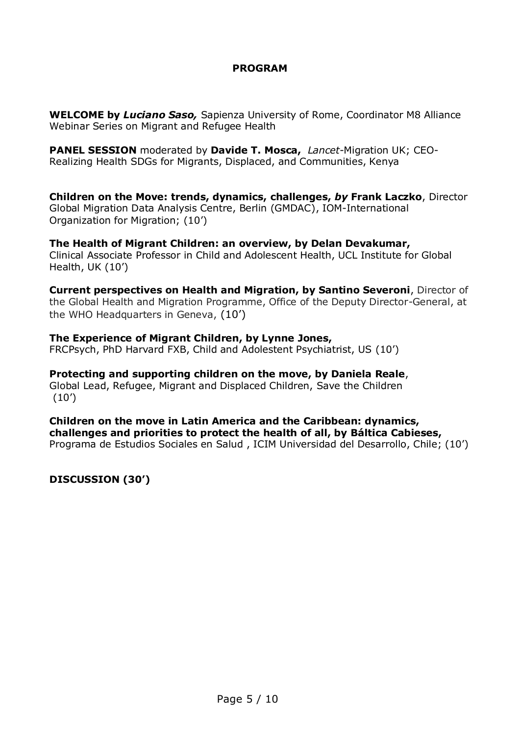# **PROGRAM**

**WELCOME by** *Luciano Saso,* Sapienza University of Rome, Coordinator M8 Alliance Webinar Series on Migrant and Refugee Health

**PANEL SESSION** moderated by **Davide T. Mosca,** *Lancet*-Migration UK; CEO-Realizing Health SDGs for Migrants, Displaced, and Communities, Kenya

**Children on the Move: trends, dynamics, challenges,** *by* **Frank Laczko**, Director [Global Migration Data Analysis Centre, Berlin \(GMDAC\),](https://www.migrationdataportal.org/institute/ioms-global-migration-data-analysis-centre-gmdac) IOM-International Organization for Migration; (10')

**The Health of Migrant Children: an overview, by Delan Devakumar,**  Clinical Associate Professor in Child and Adolescent Health, UCL Institute for Global Health, UK (10')

**Current perspectives on Health and Migration, by Santino Severoni**, Director of the Global Health and Migration Programme, Office of the Deputy Director-General, at the WHO Headquarters in Geneva, (10')

**The Experience of Migrant Children, by Lynne Jones,**  FRCPsych, PhD Harvard FXB, Child and Adolestent Psychiatrist, US (10')

**Protecting and supporting children on the move, by Daniela Reale**, Global Lead, Refugee, Migrant and Displaced Children, Save the Children  $(10')$ 

**Children on the move in Latin America and the Caribbean: dynamics, challenges and priorities to protect the health of all, by Báltica Cabieses,**  Programa de Estudios Sociales en Salud , ICIM Universidad del Desarrollo, Chile; (10')

**DISCUSSION (30')**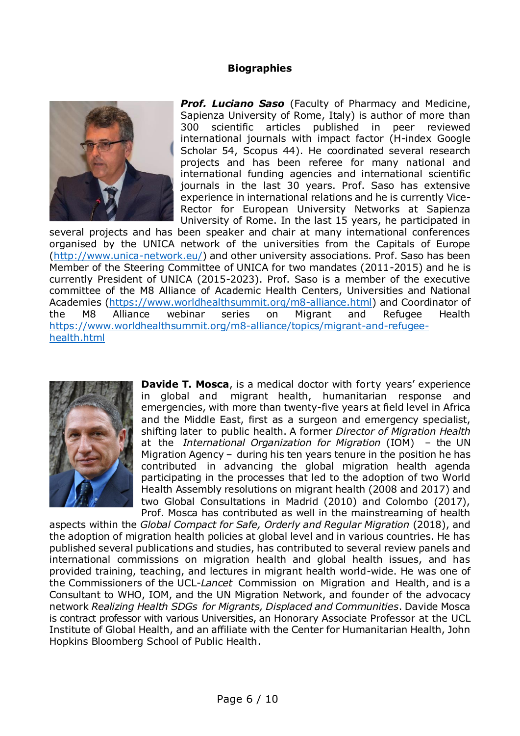### **Biographies**



*Prof. Luciano Saso* (Faculty of Pharmacy and Medicine, Sapienza University of Rome, Italy) is author of more than 300 scientific articles published in peer reviewed international journals with impact factor (H-index Google Scholar 54, Scopus 44). He coordinated several research projects and has been referee for many national and international funding agencies and international scientific journals in the last 30 years. Prof. Saso has extensive experience in international relations and he is currently Vice-Rector for European University Networks at Sapienza University of Rome. In the last 15 years, he participated in

several projects and has been speaker and chair at many international conferences organised by the UNICA network of the universities from the Capitals of Europe [\(http://www.unica-network.eu/\)](http://www.unica-network.eu/) and other university associations. Prof. Saso has been Member of the Steering Committee of UNICA for two mandates (2011-2015) and he is currently President of UNICA (2015-2023). Prof. Saso is a member of the executive committee of the M8 Alliance of Academic Health Centers, Universities and National Academies [\(https://www.worldhealthsummit.org/m8-alliance.html\)](https://www.worldhealthsummit.org/m8-alliance.html) and Coordinator of the M8 Alliance webinar series on Migrant and Refugee Health [https://www.worldhealthsummit.org/m8-alliance/topics/migrant-and-refugee](https://www.worldhealthsummit.org/m8-alliance/topics/migrant-and-refugee-health.html)[health.html](https://www.worldhealthsummit.org/m8-alliance/topics/migrant-and-refugee-health.html)



**Davide T. Mosca**, is a medical doctor with forty years' experience in global and migrant health, humanitarian response and emergencies, with more than twenty-five years at field level in Africa and the Middle East, first as a surgeon and emergency specialist, shifting later to public health. A former *Director of Migration Health* at the *International Organization for Migration* (IOM) – the UN Migration Agency – during his ten years tenure in the position he has contributed in advancing the global migration health agenda participating in the processes that led to the adoption of two World Health Assembly resolutions on migrant health (2008 and 2017) and two Global Consultations in Madrid (2010) and Colombo (2017), Prof. Mosca has contributed as well in the mainstreaming of health

aspects within the *Global Compact for Safe, Orderly and Regular Migration* (2018), and the adoption of migration health policies at global level and in various countries. He has published several publications and studies, has contributed to several review panels and international commissions on migration health and global health issues, and has provided training, teaching, and lectures in migrant health world-wide. He was one of the Commissioners of the UCL-*Lancet* Commission on Migration and Health, and is a Consultant to WHO, IOM, and the UN Migration Network, and founder of the advocacy network *Realizing Health SDGs for Migrants, Displaced and Communities*. Davide Mosca is contract professor with various Universities, an Honorary Associate Professor at the UCL Institute of Global Health, and an affiliate with the Center for Humanitarian Health, John Hopkins Bloomberg School of Public Health.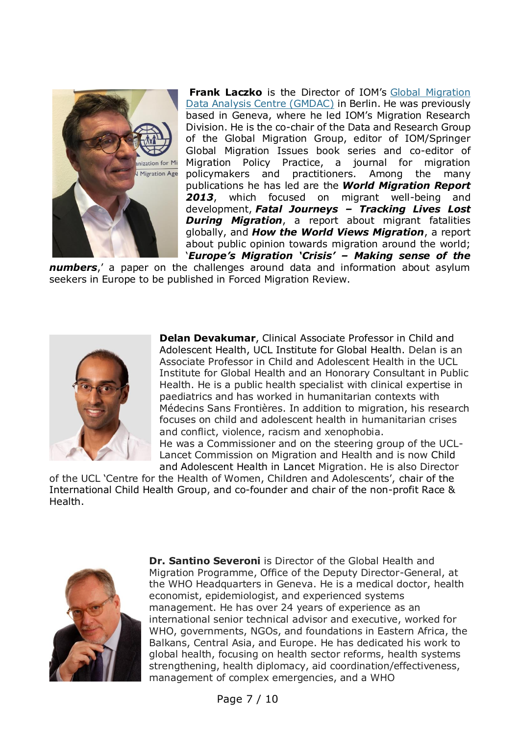

**Frank Laczko** is the Director of IOM's [Global Migration](https://gmdac.iom.int/)  [Data Analysis Centre \(GMDAC\)](https://gmdac.iom.int/) in Berlin. He was previously based in Geneva, where he led IOM's Migration Research Division. He is the co-chair of the Data and Research Group of the Global Migration Group, editor of IOM/Springer Global Migration Issues book series and co-editor of Migration Policy Practice, a journal for migration policymakers and practitioners. Among the many publications he has led are the *World Migration Report 2013*, which focused on migrant well-being and development, *Fatal Journeys – Tracking Lives Lost During Migration*, a report about migrant fatalities globally, and *How the World Views Migration*, a report about public opinion towards migration around the world; '*Europe's Migration 'Crisis' – Making sense of the* 

*numbers*,' a paper on the challenges around data and information about asylum seekers in Europe to be published in Forced Migration Review.



**Delan Devakumar**, Clinical Associate Professor in Child and Adolescent Health, UCL Institute for Global Health. Delan is an Associate Professor in Child and Adolescent Health in the UCL Institute for Global Health and an Honorary Consultant in Public Health. He is a public health specialist with clinical expertise in paediatrics and has worked in humanitarian contexts with Médecins Sans Frontières. In addition to migration, his research focuses on child and adolescent health in humanitarian crises and conflict, violence, racism and xenophobia. He was a Commissioner and on the steering group of the UCL-

Lancet Commission on Migration and Health and is now Child and Adolescent Health in Lancet Migration. He is also Director

of the UCL 'Centre for the Health of Women, Children and Adolescents', chair of the International Child Health Group, and co-founder and chair of the non-profit Race & Health.



**Dr. Santino Severoni** is Director of the Global Health and Migration Programme, Office of the Deputy Director-General, at the WHO Headquarters in Geneva. He is a medical doctor, health economist, epidemiologist, and experienced systems management. He has over 24 years of experience as an international senior technical advisor and executive, worked for WHO, governments, NGOs, and foundations in Eastern Africa, the Balkans, Central Asia, and Europe. He has dedicated his work to global health, focusing on health sector reforms, health systems strengthening, health diplomacy, aid coordination/effectiveness, management of complex emergencies, and a WHO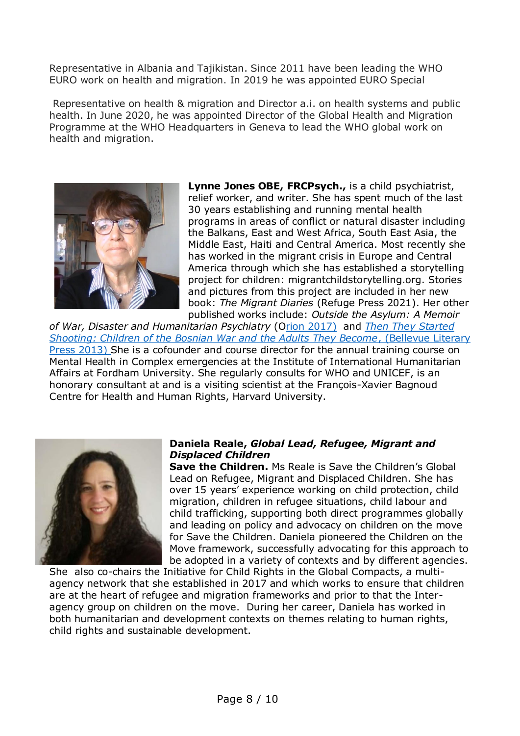Representative in Albania and Tajikistan. Since 2011 have been leading the WHO EURO work on health and migration. In 2019 he was appointed EURO Special

Representative on health & migration and Director a.i. on health systems and public health. In June 2020, he was appointed Director of the Global Health and Migration Programme at the WHO Headquarters in Geneva to lead the WHO global work on health and migration.



**Lynne Jones OBE, FRCPsych.,** is a child psychiatrist, relief worker, and writer. She has spent much of the last 30 years establishing and running mental health programs in areas of conflict or natural disaster including the Balkans, East and West Africa, South East Asia, the Middle East, Haiti and Central America. Most recently she has worked in the migrant crisis in Europe and Central America through which she has established a storytelling project for children: migrantchildstorytelling.org. Stories and pictures from this project are included in her new book: *The Migrant Diaries* (Refuge Press 2021). Her other published works include: *Outside the Asylum: A Memoir* 

*of War, Disaster and Humanitarian Psychiatry* (Orion 2017) and *[Then They Started](https://blpress.org/books/then-they-started-shooting/)  [Shooting: Children of the Bosnian War and the Adults They Become](https://blpress.org/books/then-they-started-shooting/)*, (Bellevue Literary [Press 2013\)](https://blpress.org/books/then-they-started-shooting/) She is a cofounder and course director for the annual training course on Mental Health in Complex emergencies at the Institute of International Humanitarian Affairs at Fordham University. She regularly consults for WHO and UNICEF, is an honorary consultant at and is a visiting scientist at the François-Xavier Bagnoud Centre for Health and Human Rights, Harvard University.



#### **Daniela Reale,** *Global Lead, Refugee, Migrant and Displaced Children*

**Save the Children.** Ms Reale is Save the Children's Global Lead on Refugee, Migrant and Displaced Children. She has over 15 years' experience working on child protection, child migration, children in refugee situations, child labour and child trafficking, supporting both direct programmes globally and leading on policy and advocacy on children on the move for Save the Children. Daniela pioneered the Children on the Move framework, successfully advocating for this approach to be adopted in a variety of contexts and by different agencies.

She also co-chairs the Initiative for Child Rights in the Global Compacts, a multiagency network that she established in 2017 and which works to ensure that children are at the heart of refugee and migration frameworks and prior to that the Interagency group on children on the move. During her career, Daniela has worked in both humanitarian and development contexts on themes relating to human rights, child rights and sustainable development.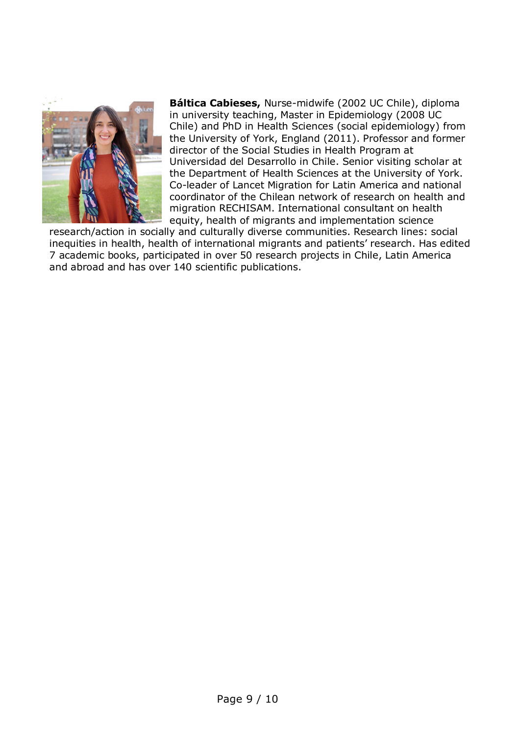

**Báltica Cabieses,** Nurse-midwife (2002 UC Chile), diploma in university teaching, Master in Epidemiology (2008 UC Chile) and PhD in Health Sciences (social epidemiology) from the University of York, England (2011). Professor and former director of the Social Studies in Health Program at Universidad del Desarrollo in Chile. Senior visiting scholar at the Department of Health Sciences at the University of York. Co-leader of Lancet Migration for Latin America and national coordinator of the Chilean network of research on health and migration RECHISAM. International consultant on health equity, health of migrants and implementation science

research/action in socially and culturally diverse communities. Research lines: social inequities in health, health of international migrants and patients' research. Has edited 7 academic books, participated in over 50 research projects in Chile, Latin America and abroad and has over 140 scientific publications.